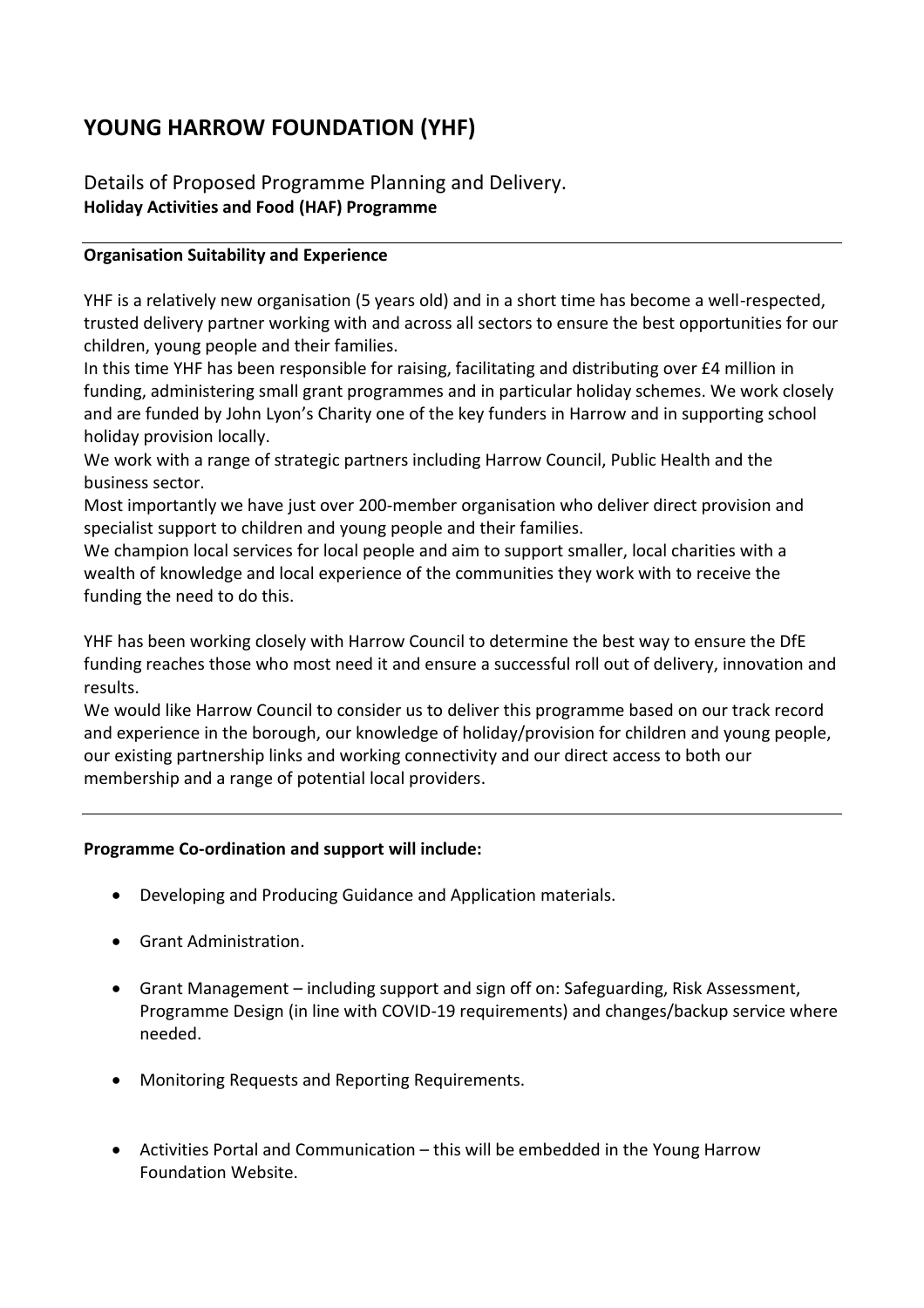# **YOUNG HARROW FOUNDATION (YHF)**

Details of Proposed Programme Planning and Delivery. **Holiday Activities and Food (HAF) Programme** 

### **Organisation Suitability and Experience**

YHF is a relatively new organisation (5 years old) and in a short time has become a well-respected, trusted delivery partner working with and across all sectors to ensure the best opportunities for our children, young people and their families.

In this time YHF has been responsible for raising, facilitating and distributing over £4 million in funding, administering small grant programmes and in particular holiday schemes. We work closely and are funded by John Lyon's Charity one of the key funders in Harrow and in supporting school holiday provision locally.

We work with a range of strategic partners including Harrow Council, Public Health and the business sector.

Most importantly we have just over 200-member organisation who deliver direct provision and specialist support to children and young people and their families.

We champion local services for local people and aim to support smaller, local charities with a wealth of knowledge and local experience of the communities they work with to receive the funding the need to do this.

YHF has been working closely with Harrow Council to determine the best way to ensure the DfE funding reaches those who most need it and ensure a successful roll out of delivery, innovation and results.

We would like Harrow Council to consider us to deliver this programme based on our track record and experience in the borough, our knowledge of holiday/provision for children and young people, our existing partnership links and working connectivity and our direct access to both our membership and a range of potential local providers.

### **Programme Co-ordination and support will include:**

- Developing and Producing Guidance and Application materials.
- Grant Administration.
- Grant Management including support and sign off on: Safeguarding, Risk Assessment, Programme Design (in line with COVID-19 requirements) and changes/backup service where needed.
- Monitoring Requests and Reporting Requirements.
- Activities Portal and Communication this will be embedded in the Young Harrow Foundation Website.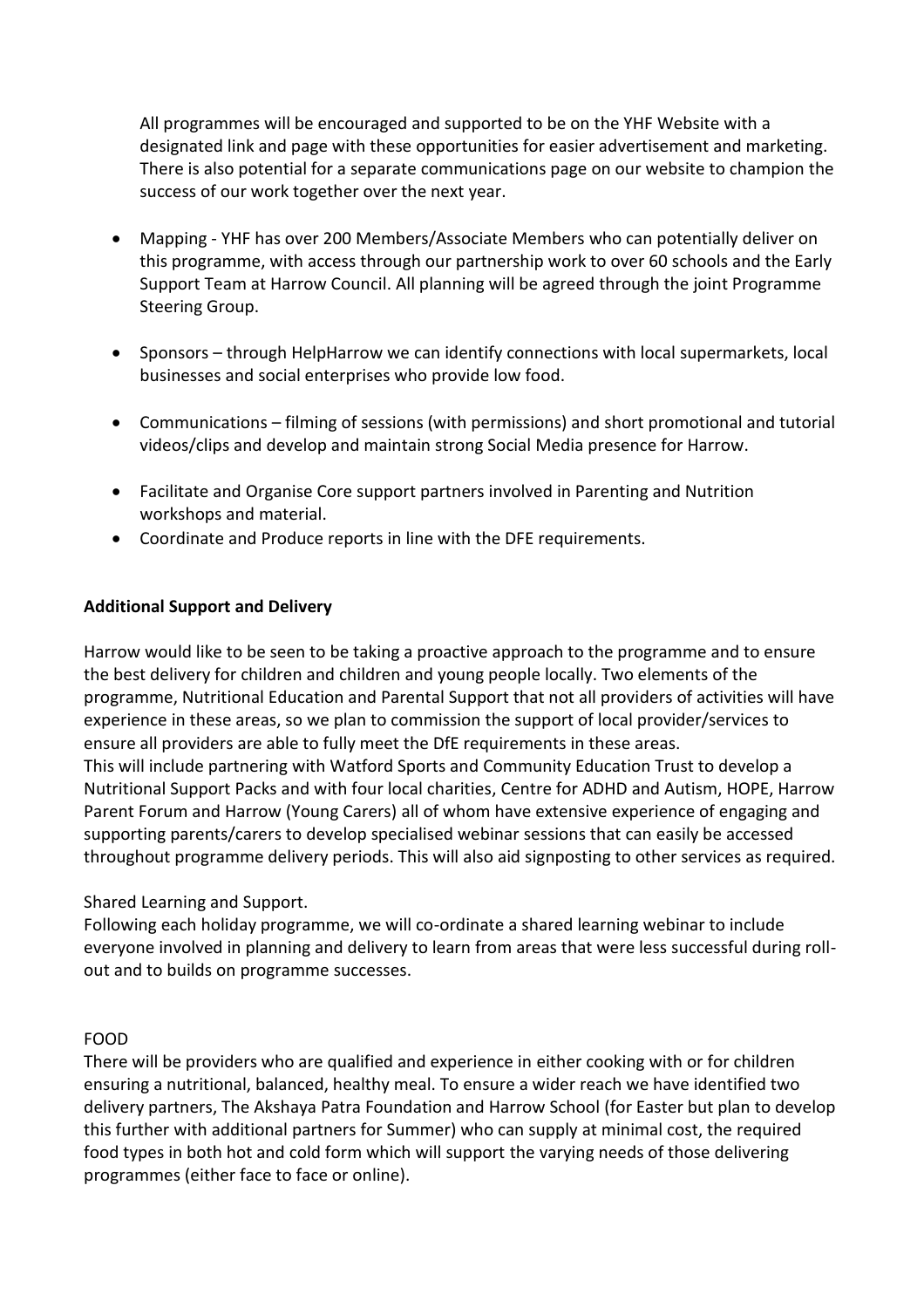All programmes will be encouraged and supported to be on the YHF Website with a designated link and page with these opportunities for easier advertisement and marketing. There is also potential for a separate communications page on our website to champion the success of our work together over the next year.

- Mapping YHF has over 200 Members/Associate Members who can potentially deliver on this programme, with access through our partnership work to over 60 schools and the Early Support Team at Harrow Council. All planning will be agreed through the joint Programme Steering Group.
- Sponsors through HelpHarrow we can identify connections with local supermarkets, local businesses and social enterprises who provide low food.
- Communications filming of sessions (with permissions) and short promotional and tutorial videos/clips and develop and maintain strong Social Media presence for Harrow.
- Facilitate and Organise Core support partners involved in Parenting and Nutrition workshops and material.
- Coordinate and Produce reports in line with the DFE requirements.

### **Additional Support and Delivery**

Harrow would like to be seen to be taking a proactive approach to the programme and to ensure the best delivery for children and children and young people locally. Two elements of the programme, Nutritional Education and Parental Support that not all providers of activities will have experience in these areas, so we plan to commission the support of local provider/services to ensure all providers are able to fully meet the DfE requirements in these areas. This will include partnering with Watford Sports and Community Education Trust to develop a Nutritional Support Packs and with four local charities, Centre for ADHD and Autism, HOPE, Harrow Parent Forum and Harrow (Young Carers) all of whom have extensive experience of engaging and supporting parents/carers to develop specialised webinar sessions that can easily be accessed throughout programme delivery periods. This will also aid signposting to other services as required.

### Shared Learning and Support.

Following each holiday programme, we will co-ordinate a shared learning webinar to include everyone involved in planning and delivery to learn from areas that were less successful during rollout and to builds on programme successes.

#### FOOD

There will be providers who are qualified and experience in either cooking with or for children ensuring a nutritional, balanced, healthy meal. To ensure a wider reach we have identified two delivery partners, The Akshaya Patra Foundation and Harrow School (for Easter but plan to develop this further with additional partners for Summer) who can supply at minimal cost, the required food types in both hot and cold form which will support the varying needs of those delivering programmes (either face to face or online).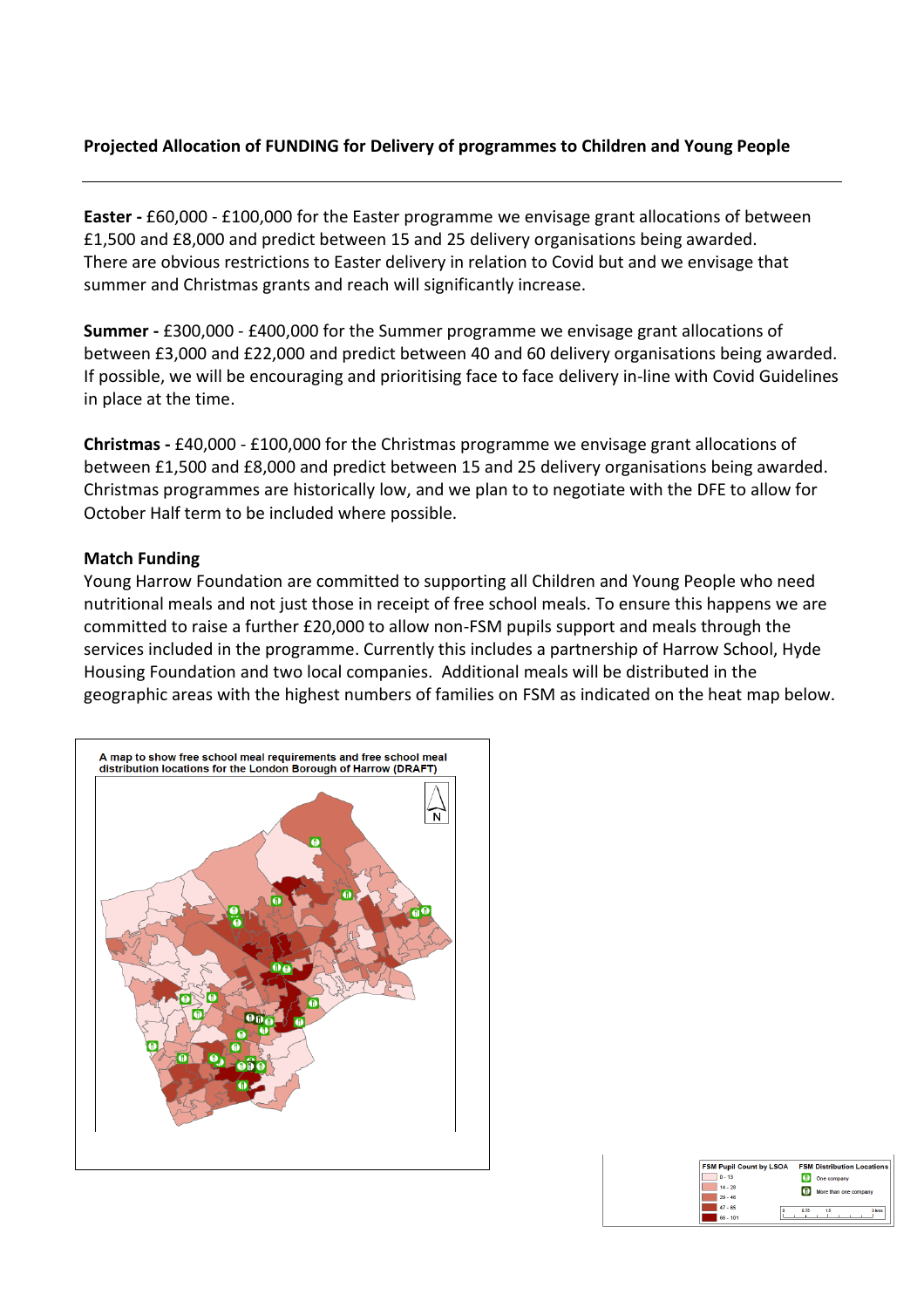### **Projected Allocation of FUNDING for Delivery of programmes to Children and Young People**

**Easter -** £60,000 - £100,000 for the Easter programme we envisage grant allocations of between £1,500 and £8,000 and predict between 15 and 25 delivery organisations being awarded. There are obvious restrictions to Easter delivery in relation to Covid but and we envisage that summer and Christmas grants and reach will significantly increase.

**Summer -** £300,000 - £400,000 for the Summer programme we envisage grant allocations of between £3,000 and £22,000 and predict between 40 and 60 delivery organisations being awarded. If possible, we will be encouraging and prioritising face to face delivery in-line with Covid Guidelines in place at the time.

**Christmas -** £40,000 - £100,000 for the Christmas programme we envisage grant allocations of between £1,500 and £8,000 and predict between 15 and 25 delivery organisations being awarded. Christmas programmes are historically low, and we plan to to negotiate with the DFE to allow for October Half term to be included where possible.

#### **Match Funding**

Young Harrow Foundation are committed to supporting all Children and Young People who need nutritional meals and not just those in receipt of free school meals. To ensure this happens we are committed to raise a further £20,000 to allow non-FSM pupils support and meals through the services included in the programme. Currently this includes a partnership of Harrow School, Hyde Housing Foundation and two local companies. Additional meals will be distributed in the geographic areas with the highest numbers of families on FSM as indicated on the heat map below.



| <b>FSM Pupil Count by LSOA</b> | <b>FSM Distribution Locations</b> |
|--------------------------------|-----------------------------------|
| $0 - 13$                       | One company                       |
| $14 - 28$                      | More than one company             |
| $29 - 46$                      |                                   |
| $47 - 65$<br>n                 | 3 kms<br>0.75<br>16               |
| $66 - 101$                     |                                   |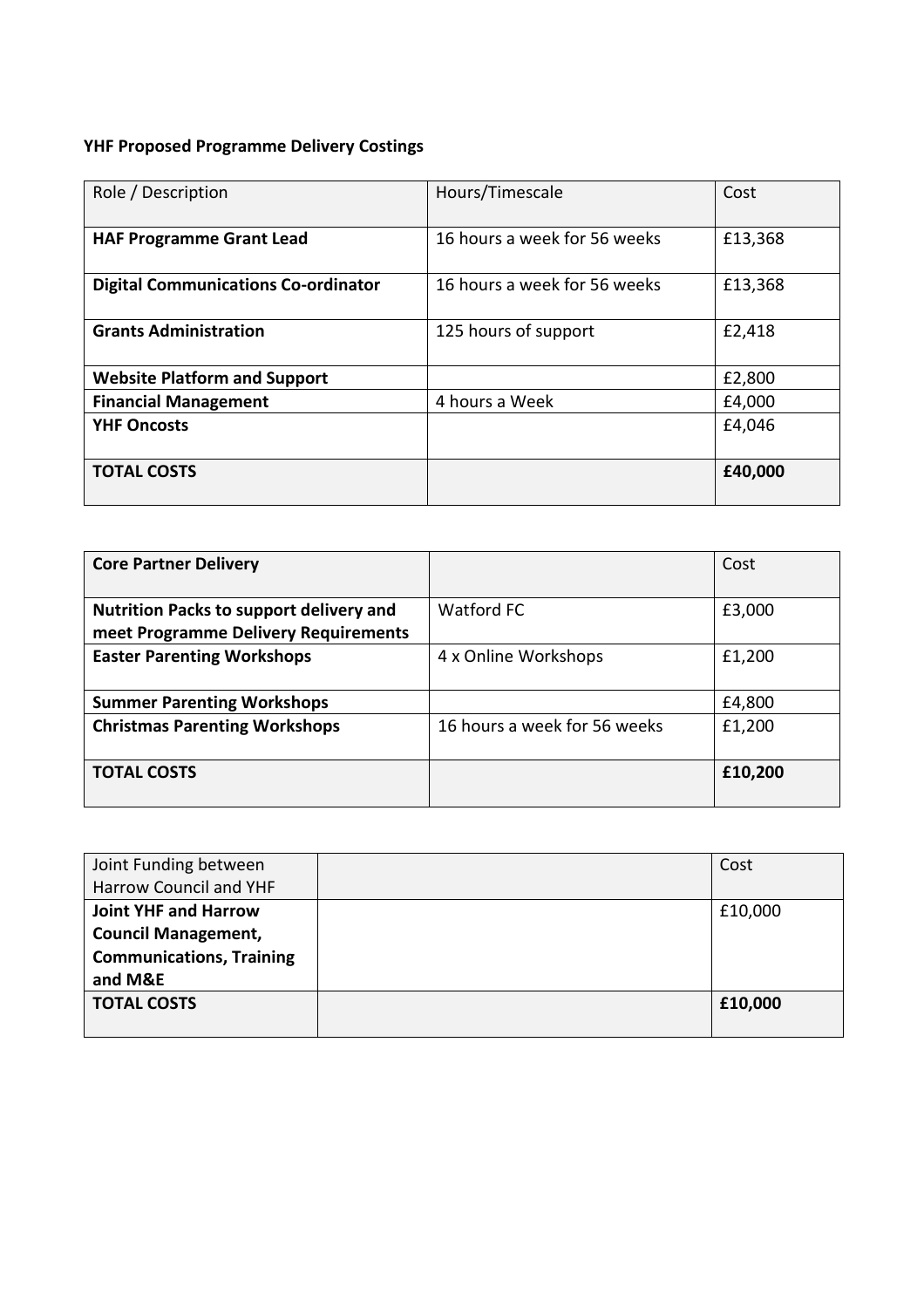# **YHF Proposed Programme Delivery Costings**

| Role / Description                         | Hours/Timescale              | Cost    |
|--------------------------------------------|------------------------------|---------|
| <b>HAF Programme Grant Lead</b>            | 16 hours a week for 56 weeks | £13,368 |
| <b>Digital Communications Co-ordinator</b> | 16 hours a week for 56 weeks | £13,368 |
| <b>Grants Administration</b>               | 125 hours of support         | £2,418  |
| <b>Website Platform and Support</b>        |                              | £2,800  |
| <b>Financial Management</b>                | 4 hours a Week               | £4,000  |
| <b>YHF Oncosts</b>                         |                              | £4,046  |
| <b>TOTAL COSTS</b>                         |                              | £40,000 |

| <b>Core Partner Delivery</b>                                                           |                              | Cost    |
|----------------------------------------------------------------------------------------|------------------------------|---------|
| <b>Nutrition Packs to support delivery and</b><br>meet Programme Delivery Requirements | <b>Watford FC</b>            | £3,000  |
| <b>Easter Parenting Workshops</b>                                                      | 4 x Online Workshops         | £1,200  |
| <b>Summer Parenting Workshops</b>                                                      |                              | £4,800  |
| <b>Christmas Parenting Workshops</b>                                                   | 16 hours a week for 56 weeks | £1,200  |
| <b>TOTAL COSTS</b>                                                                     |                              | £10,200 |

| Joint Funding between           | Cost    |
|---------------------------------|---------|
| Harrow Council and YHF          |         |
| <b>Joint YHF and Harrow</b>     | £10,000 |
| <b>Council Management,</b>      |         |
| <b>Communications, Training</b> |         |
| and M&E                         |         |
| <b>TOTAL COSTS</b>              | £10,000 |
|                                 |         |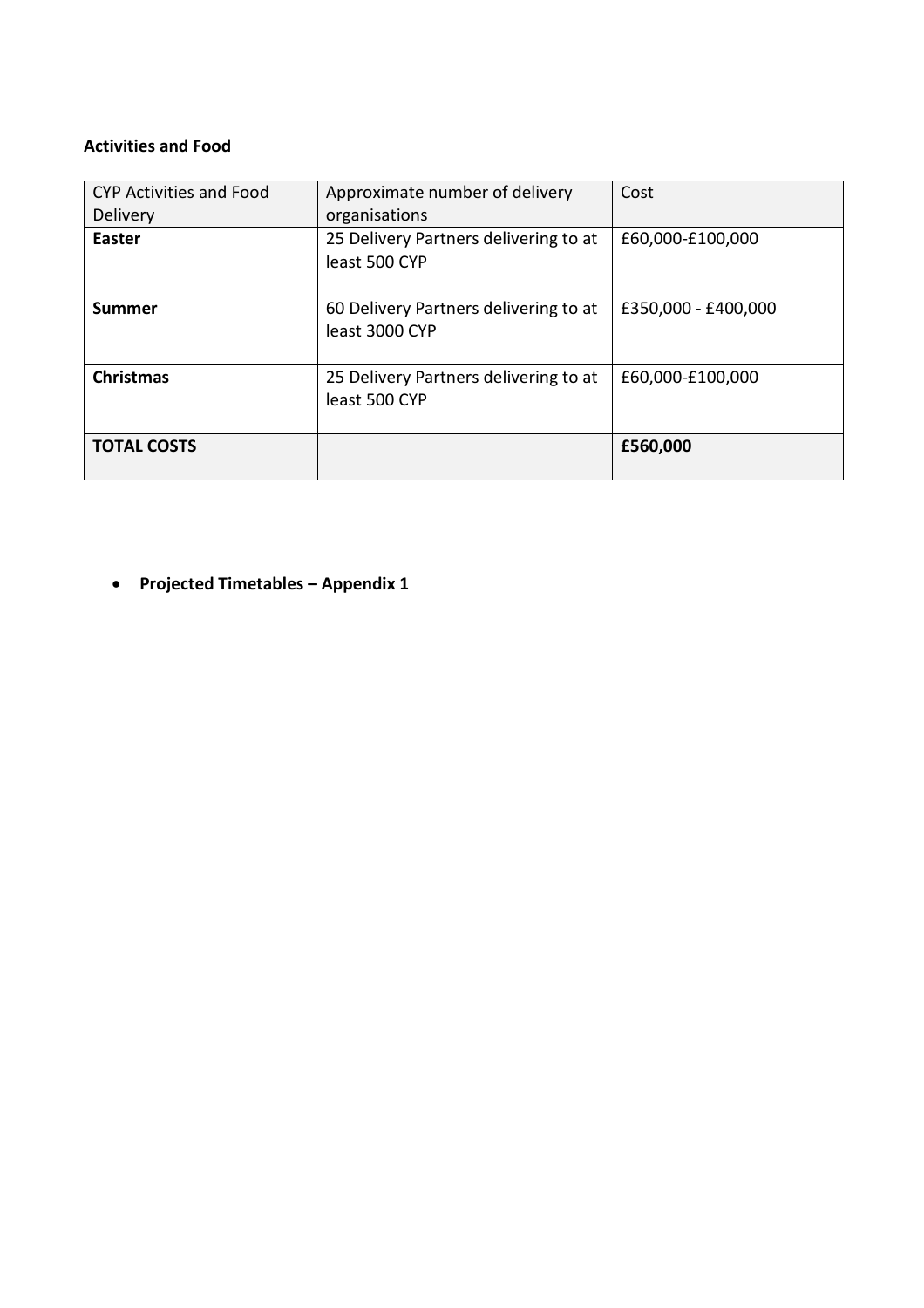### **Activities and Food**

| <b>CYP Activities and Food</b><br>Delivery | Approximate number of delivery<br>organisations         | Cost                |
|--------------------------------------------|---------------------------------------------------------|---------------------|
| <b>Easter</b>                              | 25 Delivery Partners delivering to at<br>least 500 CYP  | £60,000-£100,000    |
| <b>Summer</b>                              | 60 Delivery Partners delivering to at<br>least 3000 CYP | £350,000 - £400,000 |
| <b>Christmas</b>                           | 25 Delivery Partners delivering to at<br>least 500 CYP  | £60,000-£100,000    |
| <b>TOTAL COSTS</b>                         |                                                         | £560,000            |

• **Projected Timetables – Appendix 1**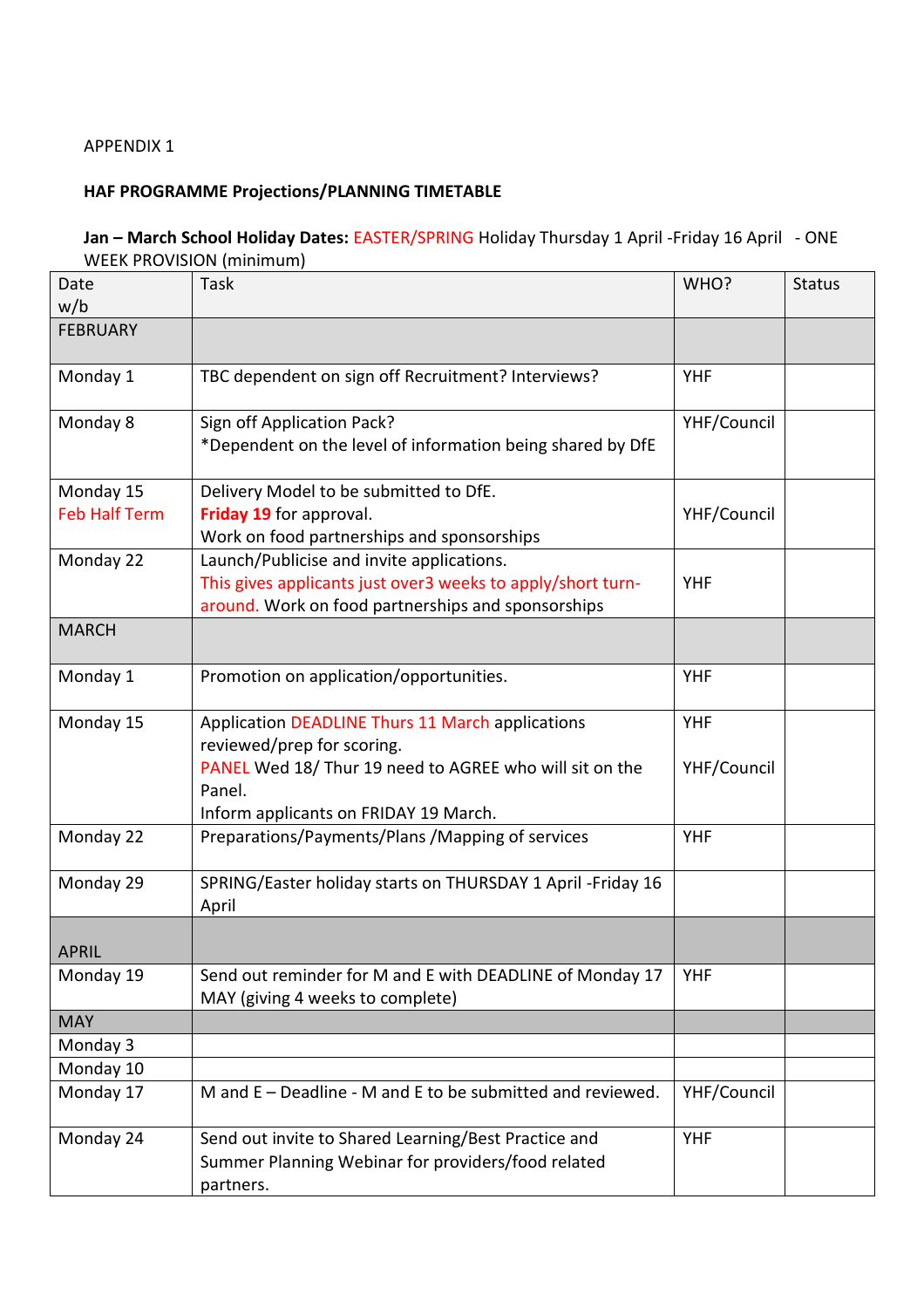### APPENDIX 1

# **HAF PROGRAMME Projections/PLANNING TIMETABLE**

### **Jan – March School Holiday Dates:** EASTER/SPRING Holiday Thursday 1 April -Friday 16 April - ONE WEEK PROVISION (minimum)

| Date                              | Task                                                                                                                                                                                         | WHO?                      | <b>Status</b> |
|-----------------------------------|----------------------------------------------------------------------------------------------------------------------------------------------------------------------------------------------|---------------------------|---------------|
| w/b                               |                                                                                                                                                                                              |                           |               |
| <b>FEBRUARY</b>                   |                                                                                                                                                                                              |                           |               |
| Monday 1                          | TBC dependent on sign off Recruitment? Interviews?                                                                                                                                           | <b>YHF</b>                |               |
| Monday 8                          | Sign off Application Pack?<br>*Dependent on the level of information being shared by DfE                                                                                                     | YHF/Council               |               |
| Monday 15<br><b>Feb Half Term</b> | Delivery Model to be submitted to DfE.<br>Friday 19 for approval.<br>Work on food partnerships and sponsorships                                                                              | YHF/Council               |               |
| Monday 22                         | Launch/Publicise and invite applications.<br>This gives applicants just over3 weeks to apply/short turn-<br>around. Work on food partnerships and sponsorships                               | <b>YHF</b>                |               |
| <b>MARCH</b>                      |                                                                                                                                                                                              |                           |               |
| Monday 1                          | Promotion on application/opportunities.                                                                                                                                                      | <b>YHF</b>                |               |
| Monday 15                         | Application DEADLINE Thurs 11 March applications<br>reviewed/prep for scoring.<br>PANEL Wed 18/ Thur 19 need to AGREE who will sit on the<br>Panel.<br>Inform applicants on FRIDAY 19 March. | <b>YHF</b><br>YHF/Council |               |
| Monday 22                         | Preparations/Payments/Plans /Mapping of services                                                                                                                                             | <b>YHF</b>                |               |
| Monday 29                         | SPRING/Easter holiday starts on THURSDAY 1 April - Friday 16<br>April                                                                                                                        |                           |               |
| <b>APRIL</b>                      |                                                                                                                                                                                              |                           |               |
| Monday 19                         | Send out reminder for M and E with DEADLINE of Monday 17<br>MAY (giving 4 weeks to complete)                                                                                                 | <b>YHF</b>                |               |
| <b>MAY</b>                        |                                                                                                                                                                                              |                           |               |
| Monday 3                          |                                                                                                                                                                                              |                           |               |
| Monday 10                         |                                                                                                                                                                                              |                           |               |
| Monday 17                         | M and E – Deadline - M and E to be submitted and reviewed.                                                                                                                                   | YHF/Council               |               |
| Monday 24                         | Send out invite to Shared Learning/Best Practice and<br>Summer Planning Webinar for providers/food related<br>partners.                                                                      | <b>YHF</b>                |               |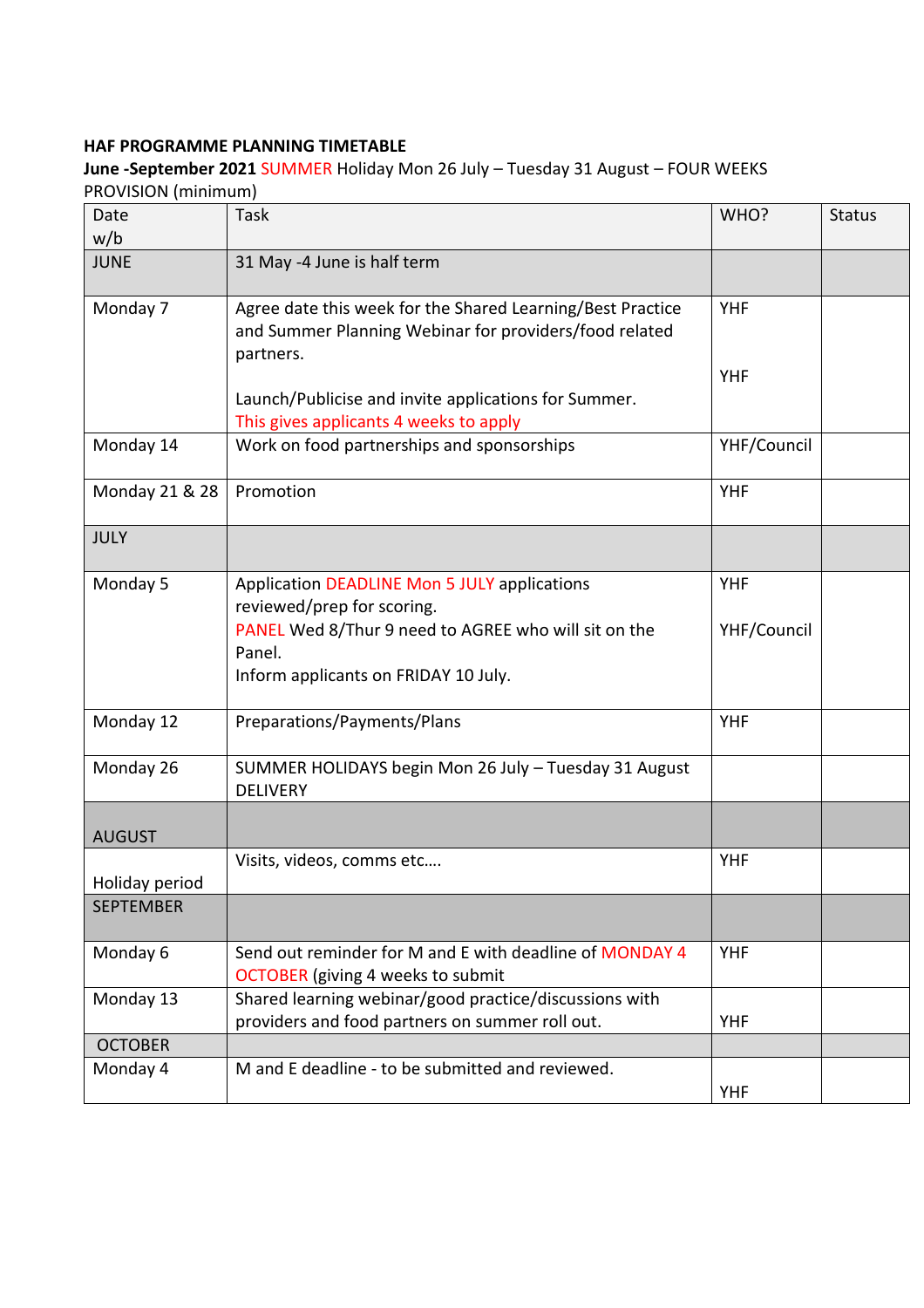### **HAF PROGRAMME PLANNING TIMETABLE**

**June -September 2021** SUMMER Holiday Mon 26 July – Tuesday 31 August – FOUR WEEKS PROVISION (minimum)

| ווושוווווווון וושוטוע שור |                                                                          |             |               |
|---------------------------|--------------------------------------------------------------------------|-------------|---------------|
| Date<br>w/b               | Task                                                                     | WHO?        | <b>Status</b> |
|                           |                                                                          |             |               |
| <b>JUNE</b>               | 31 May -4 June is half term                                              |             |               |
| Monday 7                  | Agree date this week for the Shared Learning/Best Practice               | <b>YHF</b>  |               |
|                           | and Summer Planning Webinar for providers/food related                   |             |               |
|                           | partners.                                                                |             |               |
|                           |                                                                          | <b>YHF</b>  |               |
|                           | Launch/Publicise and invite applications for Summer.                     |             |               |
|                           | This gives applicants 4 weeks to apply                                   |             |               |
| Monday 14                 | Work on food partnerships and sponsorships                               | YHF/Council |               |
|                           |                                                                          |             |               |
| Monday 21 & 28            | Promotion                                                                | <b>YHF</b>  |               |
|                           |                                                                          |             |               |
| <b>JULY</b>               |                                                                          |             |               |
|                           |                                                                          |             |               |
| Monday 5                  | Application DEADLINE Mon 5 JULY applications                             | <b>YHF</b>  |               |
|                           | reviewed/prep for scoring.                                               |             |               |
|                           | PANEL Wed 8/Thur 9 need to AGREE who will sit on the                     | YHF/Council |               |
|                           | Panel.                                                                   |             |               |
|                           | Inform applicants on FRIDAY 10 July.                                     |             |               |
|                           |                                                                          |             |               |
| Monday 12                 | Preparations/Payments/Plans                                              | <b>YHF</b>  |               |
|                           |                                                                          |             |               |
| Monday 26                 | SUMMER HOLIDAYS begin Mon 26 July - Tuesday 31 August<br><b>DELIVERY</b> |             |               |
|                           |                                                                          |             |               |
| <b>AUGUST</b>             |                                                                          |             |               |
|                           | Visits, videos, comms etc                                                | <b>YHF</b>  |               |
| Holiday period            |                                                                          |             |               |
| <b>SEPTEMBER</b>          |                                                                          |             |               |
|                           |                                                                          |             |               |
| Monday 6                  | Send out reminder for M and E with deadline of MONDAY 4                  | <b>YHF</b>  |               |
|                           | <b>OCTOBER</b> (giving 4 weeks to submit                                 |             |               |
| Monday 13                 | Shared learning webinar/good practice/discussions with                   |             |               |
|                           | providers and food partners on summer roll out.                          | <b>YHF</b>  |               |
| <b>OCTOBER</b>            |                                                                          |             |               |
| Monday 4                  | M and E deadline - to be submitted and reviewed.                         |             |               |
|                           |                                                                          | <b>YHF</b>  |               |